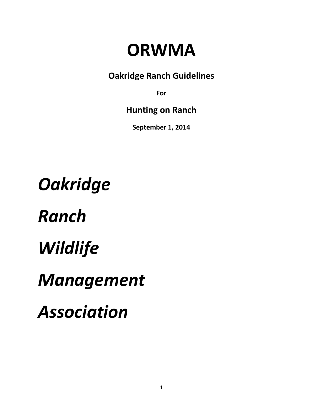# **ORWMA**

**Oakridge Ranch Guidelines**

**For**

**Hunting on Ranch**

**September 1, 2014**

*Oakridge Ranch Wildlife Management Association*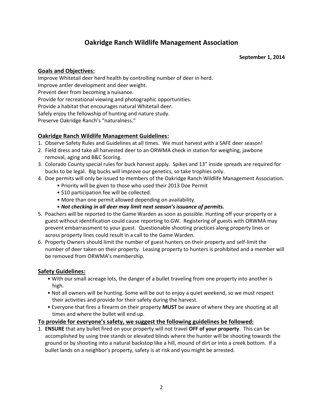# **Oakridge Ranch Wildlife Management Association**

**September 1, 2014**

# **Goals and Objectives:**

Improve Whitetail deer herd health by controlling number of deer in herd. Improve antler development and deer weight. Prevent deer from becoming a nuisance. Provide for recreational viewing and photographic opportunities. Provide a habitat that encourages natural Whitetail deer. Safely enjoy the fellowship of hunting and nature study. Preserve Oakridge Ranch's "naturalness."

# **Oakridge Ranch Wildlife Management Guidelines:**

- 1. Observe Safety Rules and Guidelines at all times. We must harvest with a SAFE deer season!
- 2. Field dress and take all harvested deer to an ORWMA check in station for weighing, jawbone removal, aging and B&C Scoring.
- 3. Colorado County special rules for buck harvest apply. Spikes and 13" inside spreads are required for bucks to be legal. Big bucks will improve our genetics, so take trophies only.
- 4. Doe permits will only be issued to members of the Oakridge Ranch Wildlife Management Association.
	- Priority will be given to those who used their 2013 Doe Permit
	- \$10 participation fee will be collected.
	- More than one permit allowed depending on availability.
	- *Not checking in all deer may limit next season's issuance of permits.*
- 5. Poachers will be reported to the Game Warden as soon as possible. Hunting off your property or a guest without identification could cause reporting to GW. Registering of guests with ORWMA may prevent embarrassment to your guest. Questionable shooting practices along property lines or across property lines could result in a call to the Game Warden.
- 6. Property Owners should limit the number of guest hunters on their property and self-limit the number of deer taken on their property. Leasing property to hunters is prohibited and a member will be removed from ORWMA's membership.

# **Safety Guidelines:**

- With our small acreage lots, the danger of a bullet traveling from one property into another is high.
- Not all owners will be hunting. Some will be out to enjoy a quiet weekend, so we must respect their activities and provide for their safety during the harvest.
- Everyone that fires a firearm on their property **MUST** be aware of where they are shooting at all times and where the bullet will end up.

#### **To provide for everyone's safety, we suggest the following guidelines be followed:**

1. **ENSURE** that any bullet fired on your property will not travel **OFF of your property**. This can be accomplished by using tree stands or elevated blinds where the hunter will be shooting towards the ground or by shooting into a natural backstop like a hill, mound of dirt or into a creek bottom. If a bullet lands on a neighbor's property, safety is at risk and you might be arrested.